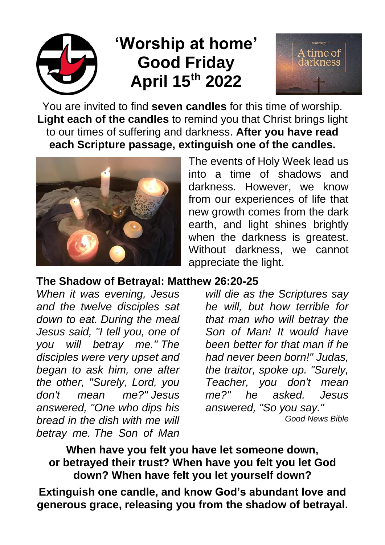

# **'Worship at home' Good Friday April 15th 2022**



You are invited to find **seven candles** for this time of worship. **Light each of the candles** to remind you that Christ brings light to our times of suffering and darkness. **After you have read each Scripture passage, extinguish one of the candles.**



The events of Holy Week lead us into a time of shadows and darkness. However, we know from our experiences of life that new growth comes from the dark earth, and light shines brightly when the darkness is greatest. Without darkness, we cannot appreciate the light.

#### **The Shadow of Betrayal: Matthew 26:20-25**

*When it was evening, Jesus and the twelve disciples sat down to eat. During the meal Jesus said, "I tell you, one of you will betray me." The disciples were very upset and began to ask him, one after the other, "Surely, Lord, you don't mean me?" Jesus answered, "One who dips his bread in the dish with me will betray me. The Son of Man* 

*will die as the Scriptures say he will, but how terrible for that man who will betray the Son of Man! It would have been better for that man if he had never been born!" Judas, the traitor, spoke up. "Surely, Teacher, you don't mean me?" he asked. Jesus answered, "So you say." Good News Bible*

# **When have you felt you have let someone down, or betrayed their trust? When have you felt you let God down? When have felt you let yourself down?**

**Extinguish one candle, and know God's abundant love and generous grace, releasing you from the shadow of betrayal.**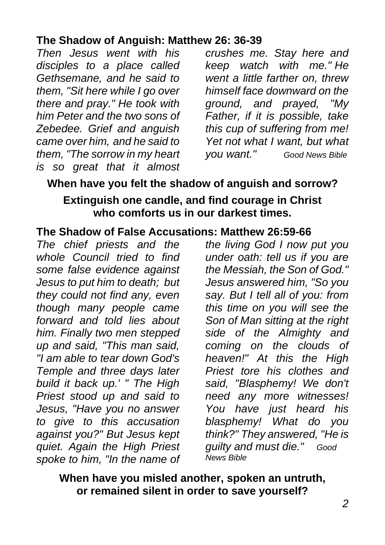# **The Shadow of Anguish: Matthew 26: 36-39**

*Then Jesus went with his disciples to a place called Gethsemane, and he said to them, "Sit here while I go over there and pray." He took with him Peter and the two sons of Zebedee. Grief and anguish came over him, and he said to them, "The sorrow in my heart is so great that it almost*  *crushes me. Stay here and keep watch with me." He went a little farther on, threw himself face downward on the ground, and prayed, "My Father, if it is possible, take this cup of suffering from me! Yet not what I want, but what you want." Good News Bible*

# **When have you felt the shadow of anguish and sorrow? Extinguish one candle, and find courage in Christ who comforts us in our darkest times.**

## **The Shadow of False Accusations: Matthew 26:59-66**

*The chief priests and the whole Council tried to find some false evidence against Jesus to put him to death; but they could not find any, even though many people came forward and told lies about him. Finally two men stepped up and said, "This man said, "I am able to tear down God's Temple and three days later build it back up.' " The High Priest stood up and said to Jesus, "Have you no answer to give to this accusation against you?" But Jesus kept quiet. Again the High Priest spoke to him, "In the name of* 

*the living God I now put you under oath: tell us if you are the Messiah, the Son of God." Jesus answered him, "So you say. But I tell all of you: from this time on you will see the Son of Man sitting at the right side of the Almighty and coming on the clouds of heaven!" At this the High Priest tore his clothes and said, "Blasphemy! We don't need any more witnesses! You have just heard his blasphemy! What do you think?" They answered, "He is guilty and must die." Good News Bible*

**When have you misled another, spoken an untruth, or remained silent in order to save yourself?**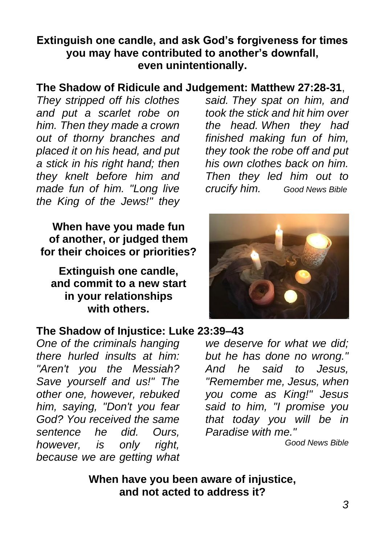#### **Extinguish one candle, and ask God's forgiveness for times you may have contributed to another's downfall, even unintentionally.**

# **The Shadow of Ridicule and Judgement: Matthew 27:28-31**,

*They stripped off his clothes and put a scarlet robe on him. Then they made a crown out of thorny branches and placed it on his head, and put a stick in his right hand; then they knelt before him and made fun of him. "Long live the King of the Jews!" they* 

**When have you made fun of another, or judged them for their choices or priorities?**

**Extinguish one candle, and commit to a new start in your relationships with others.**

#### **The Shadow of Injustice: Luke 23:39–43**

*One of the criminals hanging there hurled insults at him: "Aren't you the Messiah? Save yourself and us!" The other one, however, rebuked him, saying, "Don't you fear God? You received the same sentence he did. Ours, however, is only right, because we are getting what* 





*we deserve for what we did; but he has done no wrong." And he said to Jesus, "Remember me, Jesus, when you come as King!" Jesus said to him, "I promise you that today you will be in Paradise with me."* 

*Good News Bible*

**When have you been aware of injustice, and not acted to address it?**